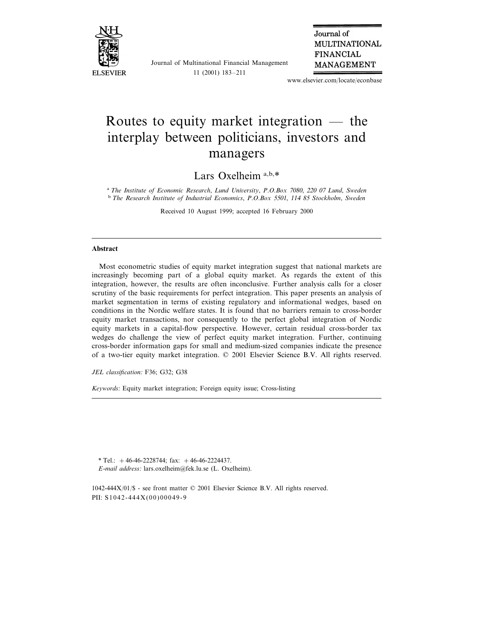

Journal of Multinational Financial Management 11 (2001) 183–211

Journal of **MULTINATIONAL FINANCIAL MANAGEMENT** 

www.elsevier.com/locate/econbase

## Routes to equity market integration — the interplay between politicians, investors and managers

Lars Oxelheim<sup>a,b,\*</sup>

<sup>a</sup> The Institute of Economic Research, Lund University, P.O.Box 7080, 220 07 Lund, Sweden <sup>b</sup> *The Research Institute of Industrial Economics*, *P*.*O*.*Box* <sup>5501</sup>, <sup>114</sup> <sup>85</sup> *Stockholm*, *Sweden*

Received 10 August 1999; accepted 16 February 2000

## **Abstract**

Most econometric studies of equity market integration suggest that national markets are increasingly becoming part of a global equity market. As regards the extent of this integration, however, the results are often inconclusive. Further analysis calls for a closer scrutiny of the basic requirements for perfect integration. This paper presents an analysis of market segmentation in terms of existing regulatory and informational wedges, based on conditions in the Nordic welfare states. It is found that no barriers remain to cross-border equity market transactions, nor consequently to the perfect global integration of Nordic equity markets in a capital-flow perspective. However, certain residual cross-border tax wedges do challenge the view of perfect equity market integration. Further, continuing cross-border information gaps for small and medium-sized companies indicate the presence of a two-tier equity market integration. © 2001 Elsevier Science B.V. All rights reserved.

*JEL classification*: F36; G32; G38

*Keywords*: Equity market integration; Foreign equity issue; Cross-listing

\* Tel.:  $+46-46-2228744$ ; fax:  $+46-46-2224437$ . *E*-*mail address*: lars.oxelheim@fek.lu.se (L. Oxelheim).

1042-444X/01/\$ - see front matter © 2001 Elsevier Science B.V. All rights reserved. PII: S1042-444X(00)00049-9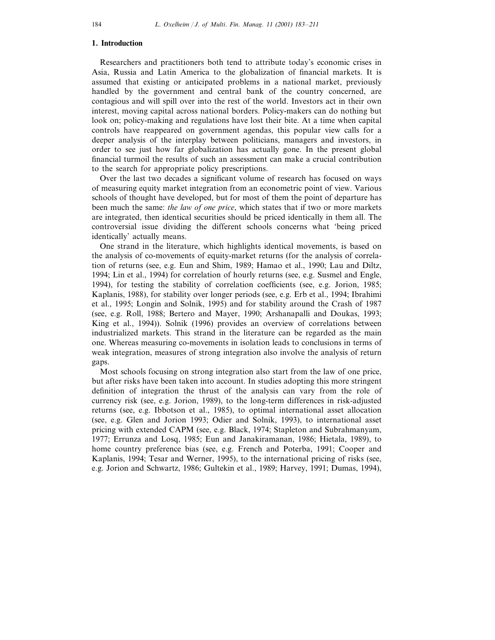## **1. Introduction**

Researchers and practitioners both tend to attribute today's economic crises in Asia, Russia and Latin America to the globalization of financial markets. It is assumed that existing or anticipated problems in a national market, previously handled by the government and central bank of the country concerned, are contagious and will spill over into the rest of the world. Investors act in their own interest, moving capital across national borders. Policy-makers can do nothing but look on; policy-making and regulations have lost their bite. At a time when capital controls have reappeared on government agendas, this popular view calls for a deeper analysis of the interplay between politicians, managers and investors, in order to see just how far globalization has actually gone. In the present global financial turmoil the results of such an assessment can make a crucial contribution to the search for appropriate policy prescriptions.

Over the last two decades a significant volume of research has focused on ways of measuring equity market integration from an econometric point of view. Various schools of thought have developed, but for most of them the point of departure has been much the same: *the law of one price*, which states that if two or more markets are integrated, then identical securities should be priced identically in them all. The controversial issue dividing the different schools concerns what 'being priced identically' actually means.

One strand in the literature, which highlights identical movements, is based on the analysis of co-movements of equity-market returns (for the analysis of correlation of returns (see, e.g. Eun and Shim, 1989; Hamao et al., 1990; Lau and Diltz, 1994; Lin et al., 1994) for correlation of hourly returns (see, e.g. Susmel and Engle, 1994), for testing the stability of correlation coefficients (see, e.g. Jorion, 1985; Kaplanis, 1988), for stability over longer periods (see, e.g. Erb et al., 1994; Ibrahimi et al., 1995; Longin and Solnik, 1995) and for stability around the Crash of 1987 (see, e.g. Roll, 1988; Bertero and Mayer, 1990; Arshanapalli and Doukas, 1993; King et al., 1994)). Solnik (1996) provides an overview of correlations between industrialized markets. This strand in the literature can be regarded as the main one. Whereas measuring co-movements in isolation leads to conclusions in terms of weak integration, measures of strong integration also involve the analysis of return gaps.

Most schools focusing on strong integration also start from the law of one price, but after risks have been taken into account. In studies adopting this more stringent definition of integration the thrust of the analysis can vary from the role of currency risk (see, e.g. Jorion, 1989), to the long-term differences in risk-adjusted returns (see, e.g. Ibbotson et al., 1985), to optimal international asset allocation (see, e.g. Glen and Jorion 1993; Odier and Solnik, 1993), to international asset pricing with extended CAPM (see, e.g. Black, 1974; Stapleton and Subrahmanyam, 1977; Errunza and Losq, 1985; Eun and Janakiramanan, 1986; Hietala, 1989), to home country preference bias (see, e.g. French and Poterba, 1991; Cooper and Kaplanis, 1994; Tesar and Werner, 1995), to the international pricing of risks (see, e.g. Jorion and Schwartz, 1986; Gultekin et al., 1989; Harvey, 1991; Dumas, 1994),